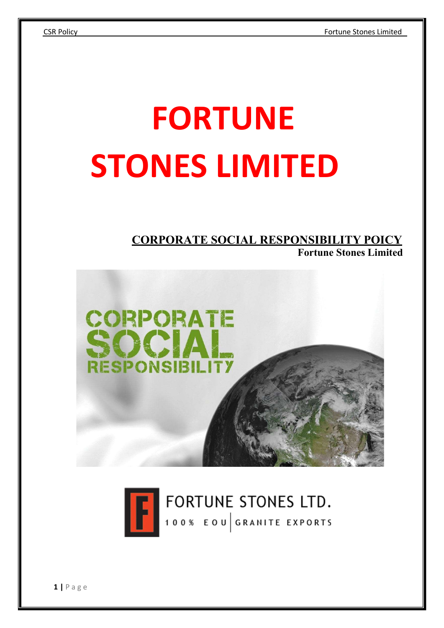# FORTUNE STONES LIMITED

# CORPORATE SOCIAL RESPONSIBILITY POICY





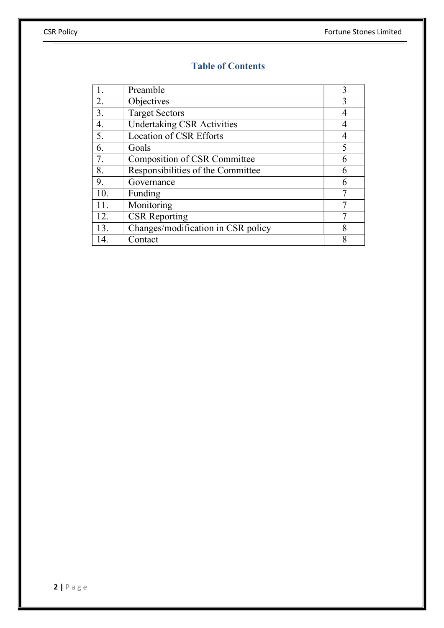### Table of Contents

|     | Preamble                           | 3              |
|-----|------------------------------------|----------------|
| 2.  | Objectives                         | 3              |
| 3.  | <b>Target Sectors</b>              |                |
| 4.  | <b>Undertaking CSR Activities</b>  | $\overline{4}$ |
| 5.  | <b>Location of CSR Efforts</b>     | 4              |
| 6.  | Goals                              |                |
| 7.  | Composition of CSR Committee       |                |
| 8.  | Responsibilities of the Committee  | h              |
| 9.  | Governance                         |                |
| 10. | Funding                            |                |
| 11. | Monitoring                         |                |
| 12. | <b>CSR</b> Reporting               |                |
| 13. | Changes/modification in CSR policy | 8              |
| 14. | Contact                            |                |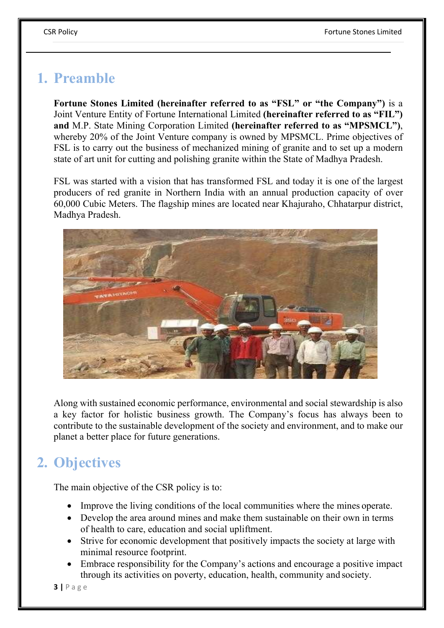# 1. Preamble

Fortune Stones Limited (hereinafter referred to as "FSL" or "the Company") is a Joint Venture Entity of Fortune International Limited (hereinafter referred to as "FIL") and M.P. State Mining Corporation Limited (hereinafter referred to as "MPSMCL"), whereby 20% of the Joint Venture company is owned by MPSMCL. Prime objectives of FSL is to carry out the business of mechanized mining of granite and to set up a modern state of art unit for cutting and polishing granite within the State of Madhya Pradesh.

FSL was started with a vision that has transformed FSL and today it is one of the largest producers of red granite in Northern India with an annual production capacity of over 60,000 Cubic Meters. The flagship mines are located near Khajuraho, Chhatarpur district, Madhya Pradesh.



Along with sustained economic performance, environmental and social stewardship is also a key factor for holistic business growth. The Company's focus has always been to contribute to the sustainable development of the society and environment, and to make our planet a better place for future generations.

# 2. Objectives

The main objective of the CSR policy is to:

- Improve the living conditions of the local communities where the mines operate.
- Develop the area around mines and make them sustainable on their own in terms of health to care, education and social upliftment.
- Strive for economic development that positively impacts the society at large with minimal resource footprint.
- Embrace responsibility for the Company's actions and encourage a positive impact through its activities on poverty, education, health, community and society.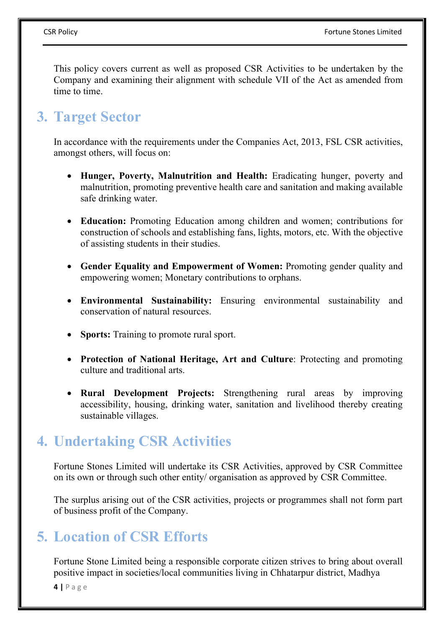This policy covers current as well as proposed CSR Activities to be undertaken by the Company and examining their alignment with schedule VII of the Act as amended from time to time.

# 3. Target Sector

In accordance with the requirements under the Companies Act, 2013, FSL CSR activities, amongst others, will focus on:

- Hunger, Poverty, Malnutrition and Health: Eradicating hunger, poverty and malnutrition, promoting preventive health care and sanitation and making available safe drinking water.
- Education: Promoting Education among children and women; contributions for construction of schools and establishing fans, lights, motors, etc. With the objective of assisting students in their studies.
- Gender Equality and Empowerment of Women: Promoting gender quality and empowering women; Monetary contributions to orphans.
- Environmental Sustainability: Ensuring environmental sustainability and conservation of natural resources.
- Sports: Training to promote rural sport.
- Protection of National Heritage, Art and Culture: Protecting and promoting culture and traditional arts.
- Rural Development Projects: Strengthening rural areas by improving accessibility, housing, drinking water, sanitation and livelihood thereby creating sustainable villages.

# 4. Undertaking CSR Activities

Fortune Stones Limited will undertake its CSR Activities, approved by CSR Committee on its own or through such other entity/ organisation as approved by CSR Committee.

The surplus arising out of the CSR activities, projects or programmes shall not form part of business profit of the Company.

# 5. Location of CSR Efforts

Fortune Stone Limited being a responsible corporate citizen strives to bring about overall positive impact in societies/local communities living in Chhatarpur district, Madhya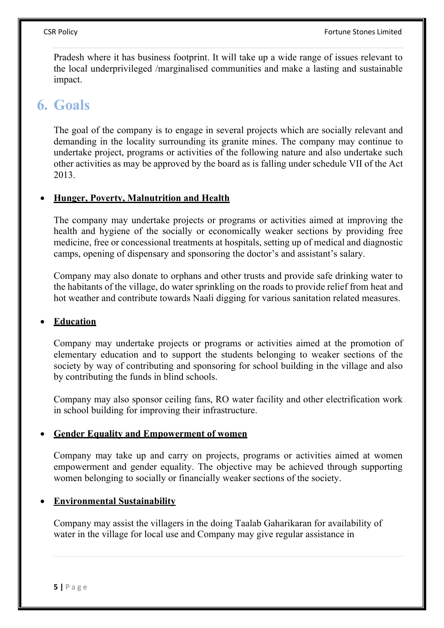Pradesh where it has business footprint. It will take up a wide range of issues relevant to the local underprivileged /marginalised communities and make a lasting and sustainable impact.

### 6. Goals

The goal of the company is to engage in several projects which are socially relevant and demanding in the locality surrounding its granite mines. The company may continue to undertake project, programs or activities of the following nature and also undertake such other activities as may be approved by the board as is falling under schedule VII of the Act 2013.

### Hunger, Poverty, Malnutrition and Health

The company may undertake projects or programs or activities aimed at improving the health and hygiene of the socially or economically weaker sections by providing free medicine, free or concessional treatments at hospitals, setting up of medical and diagnostic camps, opening of dispensary and sponsoring the doctor's and assistant's salary.

Company may also donate to orphans and other trusts and provide safe drinking water to the habitants of the village, do water sprinkling on the roads to provide relief from heat and hot weather and contribute towards Naali digging for various sanitation related measures.

### Education

Company may undertake projects or programs or activities aimed at the promotion of elementary education and to support the students belonging to weaker sections of the society by way of contributing and sponsoring for school building in the village and also by contributing the funds in blind schools.

Company may also sponsor ceiling fans, RO water facility and other electrification work in school building for improving their infrastructure.

### Gender Equality and Empowerment of women

Company may take up and carry on projects, programs or activities aimed at women empowerment and gender equality. The objective may be achieved through supporting women belonging to socially or financially weaker sections of the society.

### Environmental Sustainability

Company may assist the villagers in the doing Taalab Gaharikaran for availability of water in the village for local use and Company may give regular assistance in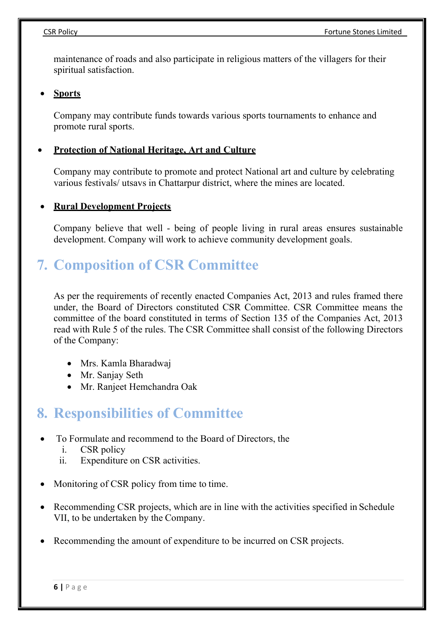maintenance of roads and also participate in religious matters of the villagers for their spiritual satisfaction.

**Sports** 

Company may contribute funds towards various sports tournaments to enhance and promote rural sports.

### Protection of National Heritage, Art and Culture

Company may contribute to promote and protect National art and culture by celebrating various festivals/ utsavs in Chattarpur district, where the mines are located.

### Rural Development Projects

Company believe that well - being of people living in rural areas ensures sustainable development. Company will work to achieve community development goals.

### 7. Composition of CSR Committee

As per the requirements of recently enacted Companies Act, 2013 and rules framed there under, the Board of Directors constituted CSR Committee. CSR Committee means the committee of the board constituted in terms of Section 135 of the Companies Act, 2013 read with Rule 5 of the rules. The CSR Committee shall consist of the following Directors of the Company:

- Mrs. Kamla Bharadwaj
- Mr. Sanjay Seth
- Mr. Ranjeet Hemchandra Oak

### 8. Responsibilities of Committee

- To Formulate and recommend to the Board of Directors, the
	- i. CSR policy
	- ii. Expenditure on CSR activities.
- Monitoring of CSR policy from time to time.
- Recommending CSR projects, which are in line with the activities specified in Schedule VII, to be undertaken by the Company.
- Recommending the amount of expenditure to be incurred on CSR projects.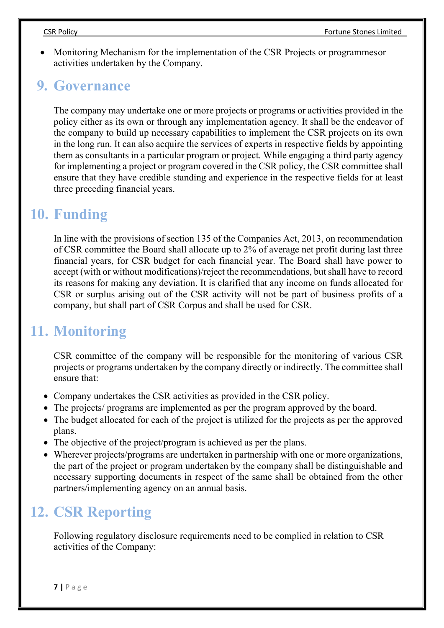Monitoring Mechanism for the implementation of the CSR Projects or programmes or activities undertaken by the Company.

### 9. Governance

The company may undertake one or more projects or programs or activities provided in the policy either as its own or through any implementation agency. It shall be the endeavor of the company to build up necessary capabilities to implement the CSR projects on its own in the long run. It can also acquire the services of experts in respective fields by appointing them as consultants in a particular program or project. While engaging a third party agency for implementing a project or program covered in the CSR policy, the CSR committee shall ensure that they have credible standing and experience in the respective fields for at least three preceding financial years.

### 10. Funding

In line with the provisions of section 135 of the Companies Act, 2013, on recommendation of CSR committee the Board shall allocate up to 2% of average net profit during last three financial years, for CSR budget for each financial year. The Board shall have power to accept (with or without modifications)/reject the recommendations, but shall have to record its reasons for making any deviation. It is clarified that any income on funds allocated for CSR or surplus arising out of the CSR activity will not be part of business profits of a company, but shall part of CSR Corpus and shall be used for CSR.

### 11. Monitoring

CSR committee of the company will be responsible for the monitoring of various CSR projects or programs undertaken by the company directly or indirectly. The committee shall ensure that:

- Company undertakes the CSR activities as provided in the CSR policy.
- The projects/ programs are implemented as per the program approved by the board.
- The budget allocated for each of the project is utilized for the projects as per the approved plans.
- The objective of the project/program is achieved as per the plans.
- Wherever projects/programs are undertaken in partnership with one or more organizations, the part of the project or program undertaken by the company shall be distinguishable and necessary supporting documents in respect of the same shall be obtained from the other partners/implementing agency on an annual basis.

# 12. CSR Reporting

Following regulatory disclosure requirements need to be complied in relation to CSR activities of the Company: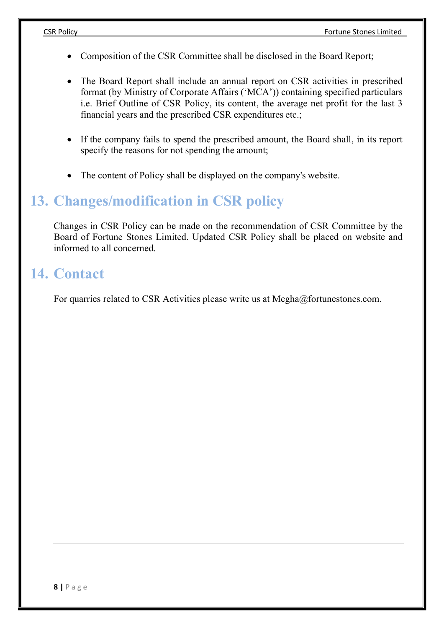- Composition of the CSR Committee shall be disclosed in the Board Report;
- The Board Report shall include an annual report on CSR activities in prescribed format (by Ministry of Corporate Affairs ('MCA')) containing specified particulars i.e. Brief Outline of CSR Policy, its content, the average net profit for the last 3 financial years and the prescribed CSR expenditures etc.;
- If the company fails to spend the prescribed amount, the Board shall, in its report specify the reasons for not spending the amount;
- The content of Policy shall be displayed on the company's website.

### 13. Changes/modification in CSR policy

Changes in CSR Policy can be made on the recommendation of CSR Committee by the Board of Fortune Stones Limited. Updated CSR Policy shall be placed on website and informed to all concerned.

### 14. Contact

For quarries related to CSR Activities please write us at Megha@fortunestones.com.